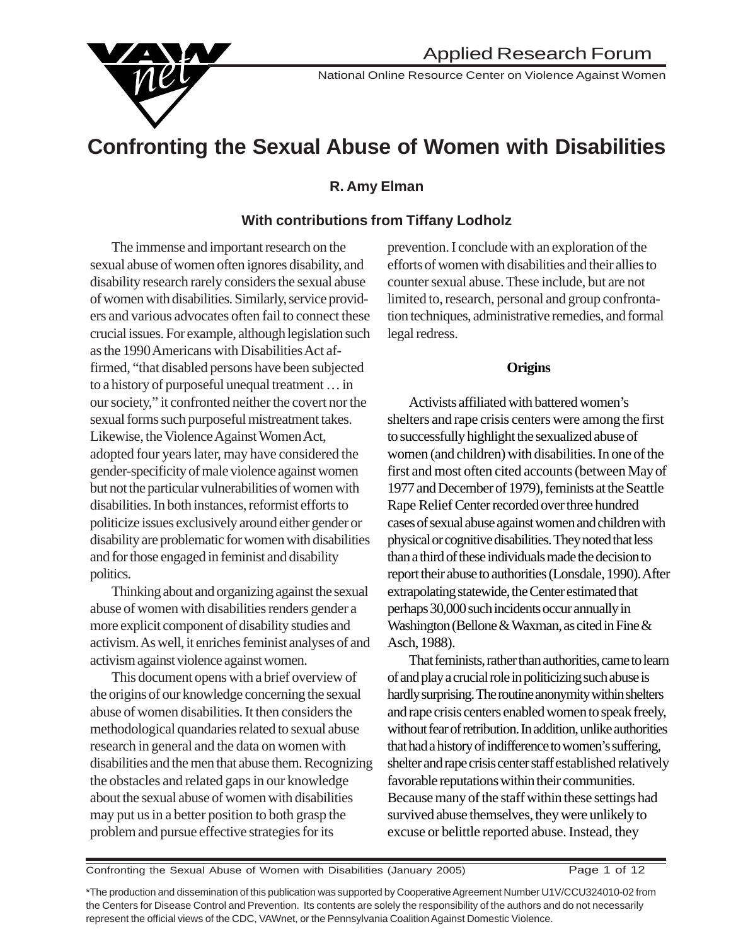

National Online Resource Center on Violence Against Women

# **Confronting the Sexual Abuse of Women with Disabilities**

## **R. Amy Elman**

### **With contributions from Tiffany Lodholz**

The immense and important research on the sexual abuse of women often ignores disability, and disability research rarely considers the sexual abuse of women with disabilities. Similarly, service providers and various advocates often fail to connect these crucial issues. For example, although legislation such as the 1990 Americans with Disabilities Act affirmed, "that disabled persons have been subjected to a history of purposeful unequal treatment … in our society," it confronted neither the covert nor the sexual forms such purposeful mistreatment takes. Likewise, the Violence Against Women Act, adopted four years later, may have considered the gender-specificity of male violence against women but not the particular vulnerabilities of women with disabilities. In both instances, reformist efforts to politicize issues exclusively around either gender or disability are problematic for women with disabilities and for those engaged in feminist and disability politics.

Thinking about and organizing against the sexual abuse of women with disabilities renders gender a more explicit component of disability studies and activism. As well, it enriches feminist analyses of and activism against violence against women.

This document opens with a brief overview of the origins of our knowledge concerning the sexual abuse of women disabilities. It then considers the methodological quandaries related to sexual abuse research in general and the data on women with disabilities and the men that abuse them. Recognizing the obstacles and related gaps in our knowledge about the sexual abuse of women with disabilities may put us in a better position to both grasp the problem and pursue effective strategies for its

prevention. I conclude with an exploration of the efforts of women with disabilities and their allies to counter sexual abuse. These include, but are not limited to, research, personal and group confrontation techniques, administrative remedies, and formal legal redress.

#### **Origins**

Activists affiliated with battered women's shelters and rape crisis centers were among the first to successfully highlight the sexualized abuse of women (and children) with disabilities. In one of the first and most often cited accounts (between May of 1977 and December of 1979), feminists at the Seattle Rape Relief Center recorded over three hundred cases of sexual abuse against women and children with physical or cognitive disabilities. They noted that less than a third of these individuals made the decision to report their abuse to authorities (Lonsdale, 1990). After extrapolating statewide, the Center estimated that perhaps 30,000 such incidents occur annually in Washington (Bellone & Waxman, as cited in Fine & Asch, 1988).

That feminists, rather than authorities, came to learn of and play a crucial role in politicizing such abuse is hardly surprising. The routine anonymity within shelters and rape crisis centers enabled women to speak freely, without fear of retribution. In addition, unlike authorities that had a history of indifference to women's suffering, shelter and rape crisis center staff established relatively favorable reputations within their communities. Because many of the staff within these settings had survived abuse themselves, they were unlikely to excuse or belittle reported abuse. Instead, they

Confronting the Sexual Abuse of Women with Disabilities (January 2005) Page 1 of 12

\*The production and dissemination of this publication was supported by Cooperative Agreement Number U1V/CCU324010-02 from the Centers for Disease Control and Prevention. Its contents are solely the responsibility of the authors and do not necessarily represent the official views of the CDC, VAWnet, or the Pennsylvania Coalition Against Domestic Violence.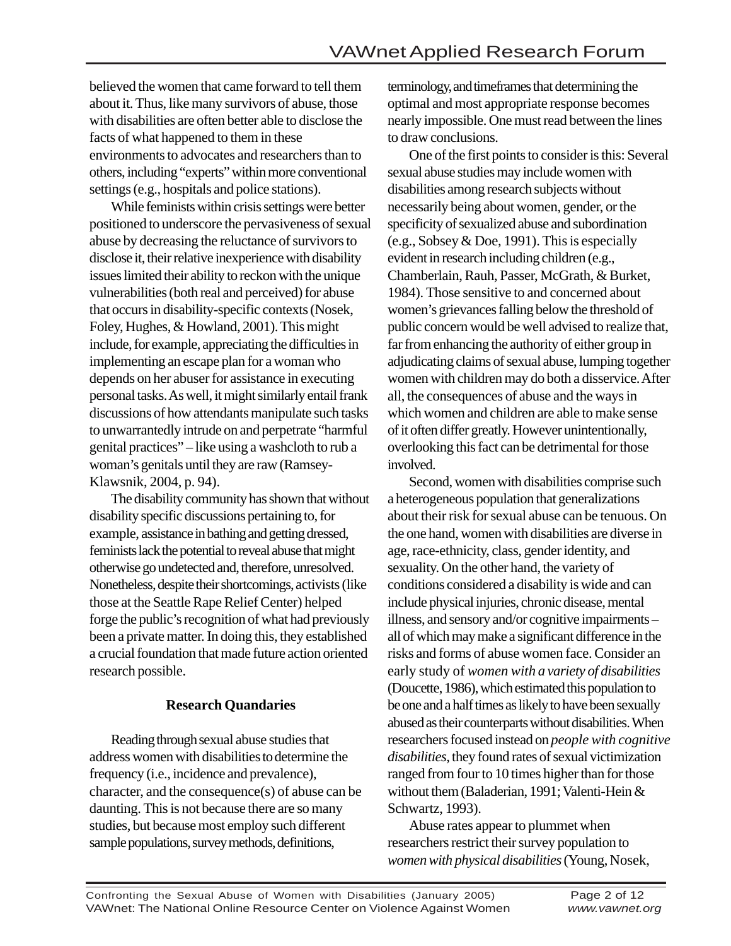believed the women that came forward to tell them about it. Thus, like many survivors of abuse, those with disabilities are often better able to disclose the facts of what happened to them in these environments to advocates and researchers than to others, including "experts" within more conventional settings (e.g., hospitals and police stations).

While feminists within crisis settings were better positioned to underscore the pervasiveness of sexual abuse by decreasing the reluctance of survivors to disclose it, their relative inexperience with disability issues limited their ability to reckon with the unique vulnerabilities (both real and perceived) for abuse that occurs in disability-specific contexts (Nosek, Foley, Hughes, & Howland, 2001). This might include, for example, appreciating the difficulties in implementing an escape plan for a woman who depends on her abuser for assistance in executing personal tasks. As well, it might similarly entail frank discussions of how attendants manipulate such tasks to unwarrantedly intrude on and perpetrate "harmful genital practices" – like using a washcloth to rub a woman's genitals until they are raw (Ramsey-Klawsnik, 2004, p. 94).

The disability community has shown that without disability specific discussions pertaining to, for example, assistance in bathing and getting dressed, feminists lack the potential to reveal abuse that might otherwise go undetected and, therefore, unresolved. Nonetheless, despite their shortcomings, activists (like those at the Seattle Rape Relief Center) helped forge the public's recognition of what had previously been a private matter. In doing this, they established a crucial foundation that made future action oriented research possible.

#### **Research Quandaries**

Reading through sexual abuse studies that address women with disabilities to determine the frequency (i.e., incidence and prevalence), character, and the consequence(s) of abuse can be daunting. This is not because there are so many studies, but because most employ such different sample populations, survey methods, definitions,

terminology, and timeframes that determining the optimal and most appropriate response becomes nearly impossible. One must read between the lines to draw conclusions.

One of the first points to consider is this: Several sexual abuse studies may include women with disabilities among research subjects without necessarily being about women, gender, or the specificity of sexualized abuse and subordination (e.g., Sobsey & Doe, 1991). This is especially evident in research including children (e.g., Chamberlain, Rauh, Passer, McGrath, & Burket, 1984). Those sensitive to and concerned about women's grievances falling below the threshold of public concern would be well advised to realize that, far from enhancing the authority of either group in adjudicating claims of sexual abuse, lumping together women with children may do both a disservice. After all, the consequences of abuse and the ways in which women and children are able to make sense of it often differ greatly. However unintentionally, overlooking this fact can be detrimental for those involved.

Second, women with disabilities comprise such a heterogeneous population that generalizations about their risk for sexual abuse can be tenuous. On the one hand, women with disabilities are diverse in age, race-ethnicity, class, gender identity, and sexuality. On the other hand, the variety of conditions considered a disability is wide and can include physical injuries, chronic disease, mental illness, and sensory and/or cognitive impairments – all of which may make a significant difference in the risks and forms of abuse women face. Consider an early study of *women with a variety of disabilities* (Doucette, 1986), which estimated this population to be one and a half times as likely to have been sexually abused as their counterparts without disabilities. When researchers focused instead on *people with cognitive disabilities,* they found rates of sexual victimization ranged from four to 10 times higher than for those without them (Baladerian, 1991; Valenti-Hein & Schwartz, 1993).

Abuse rates appear to plummet when researchers restrict their survey population to *women with physical disabilities* (Young, Nosek,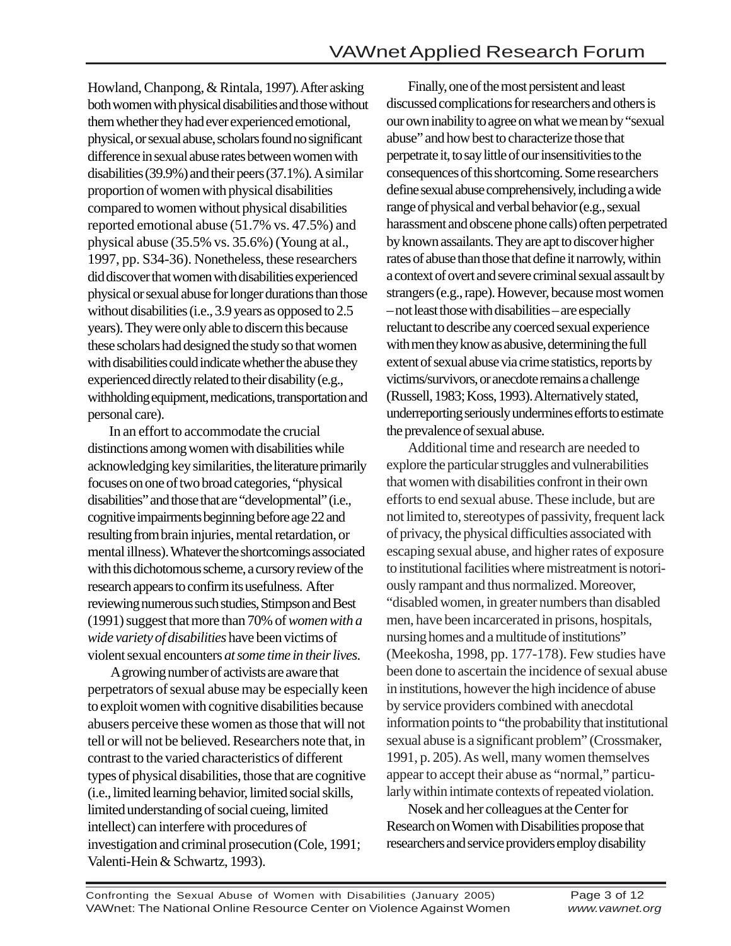Howland, Chanpong, & Rintala, 1997)*.* After asking both women with physical disabilities and those without them whether they had ever experienced emotional, physical, or sexual abuse, scholars found no significant difference in sexual abuse rates between women with disabilities (39.9%) and their peers (37.1%). A similar proportion of women with physical disabilities compared to women without physical disabilities reported emotional abuse (51.7% vs. 47.5%) and physical abuse (35.5% vs. 35.6%) (Young at al., 1997, pp. S34-36). Nonetheless, these researchers did discover that women with disabilities experienced physical or sexual abuse for longer durations than those without disabilities (i.e., 3.9 years as opposed to 2.5 years). They were only able to discern this because these scholars had designed the study so that women with disabilities could indicate whether the abuse they experienced directly related to their disability (e.g., withholding equipment, medications, transportation and personal care).

In an effort to accommodate the crucial distinctions among women with disabilities while acknowledging key similarities, the literature primarily focuses on one of two broad categories, "physical disabilities" and those that are "developmental" (i.e., cognitive impairments beginning before age 22 and resulting from brain injuries, mental retardation, or mental illness). Whatever the shortcomings associated with this dichotomous scheme, a cursory review of the research appears to confirm its usefulness. After reviewing numerous such studies, Stimpson and Best (1991) suggest that more than 70% of *women with a wide variety of disabilities* have been victims of violent sexual encounters *at some time in their lives*.

 A growing number of activists are aware that perpetrators of sexual abuse may be especially keen to exploit women with cognitive disabilities because abusers perceive these women as those that will not tell or will not be believed. Researchers note that, in contrast to the varied characteristics of different types of physical disabilities, those that are cognitive (i.e., limited learning behavior, limited social skills, limited understanding of social cueing, limited intellect) can interfere with procedures of investigation and criminal prosecution (Cole, 1991; Valenti-Hein & Schwartz, 1993).

Finally, one of the most persistent and least discussed complications for researchers and others is our own inability to agree on what we mean by "sexual abuse" and how best to characterize those that perpetrate it, to say little of our insensitivities to the consequences of this shortcoming. Some researchers define sexual abuse comprehensively, including a wide range of physical and verbal behavior (e.g., sexual harassment and obscene phone calls) often perpetrated by known assailants. They are apt to discover higher rates of abuse than those that define it narrowly, within a context of overt and severe criminal sexual assault by strangers (e.g., rape). However, because most women – not least those with disabilities – are especially reluctant to describe any coerced sexual experience with men they know as abusive, determining the full extent of sexual abuse via crime statistics, reports by victims/survivors, or anecdote remains a challenge (Russell, 1983; Koss, 1993). Alternatively stated, underreporting seriously undermines efforts to estimate the prevalence of sexual abuse.

Additional time and research are needed to explore the particular struggles and vulnerabilities that women with disabilities confront in their own efforts to end sexual abuse. These include, but are not limited to, stereotypes of passivity, frequent lack of privacy, the physical difficulties associated with escaping sexual abuse, and higher rates of exposure to institutional facilities where mistreatment is notoriously rampant and thus normalized. Moreover, "disabled women, in greater numbers than disabled men, have been incarcerated in prisons, hospitals, nursing homes and a multitude of institutions" (Meekosha, 1998, pp. 177-178). Few studies have been done to ascertain the incidence of sexual abuse in institutions, however the high incidence of abuse by service providers combined with anecdotal information points to "the probability that institutional sexual abuse is a significant problem" (Crossmaker, 1991, p. 205). As well, many women themselves appear to accept their abuse as "normal," particularly within intimate contexts of repeated violation.

Nosek and her colleagues at the Center for Research on Women with Disabilities propose that researchers and service providers employ disability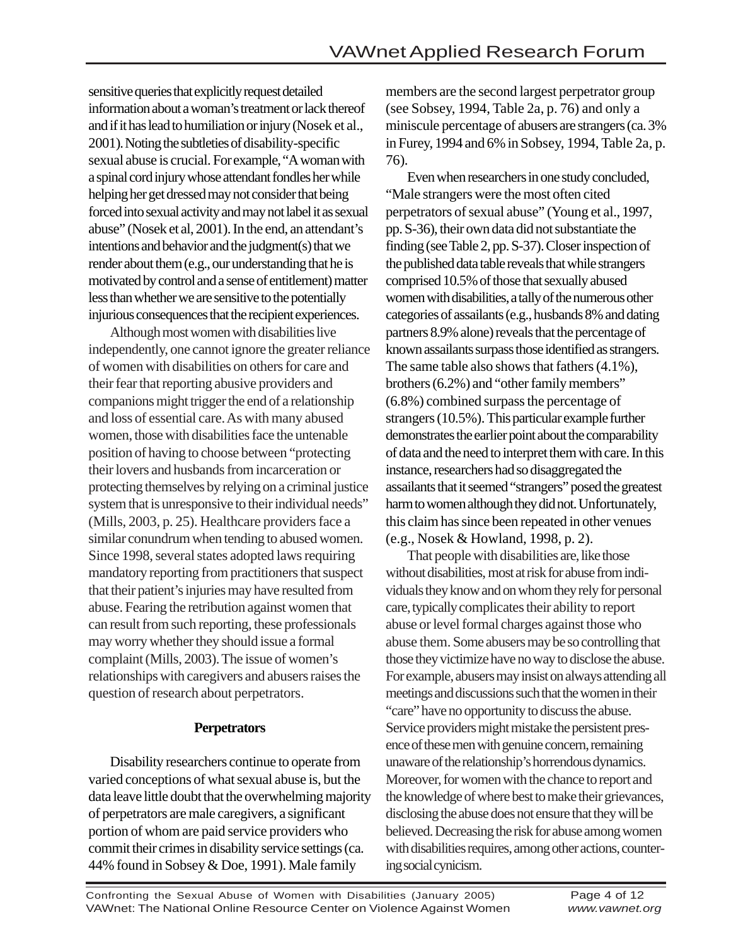sensitive queries that explicitly request detailed information about a woman's treatment or lack thereof and if it has lead to humiliation or injury (Nosek et al., 2001). Noting the subtleties of disability-specific sexual abuse is crucial. For example, "A woman with a spinal cord injury whose attendant fondles her while helping her get dressed may not consider that being forced into sexual activity and may not label it as sexual abuse" (Nosek et al, 2001). In the end, an attendant's intentions and behavior and the judgment(s) that we render about them (e.g., our understanding that he is motivated by control and a sense of entitlement) matter less than whether we are sensitive to the potentially injurious consequences that the recipient experiences.

Although most women with disabilities live independently, one cannot ignore the greater reliance of women with disabilities on others for care and their fear that reporting abusive providers and companions might trigger the end of a relationship and loss of essential care. As with many abused women, those with disabilities face the untenable position of having to choose between "protecting their lovers and husbands from incarceration or protecting themselves by relying on a criminal justice system that is unresponsive to their individual needs" (Mills, 2003, p. 25). Healthcare providers face a similar conundrum when tending to abused women. Since 1998, several states adopted laws requiring mandatory reporting from practitioners that suspect that their patient's injuries may have resulted from abuse. Fearing the retribution against women that can result from such reporting, these professionals may worry whether they should issue a formal complaint (Mills, 2003). The issue of women's relationships with caregivers and abusers raises the question of research about perpetrators.

#### **Perpetrators**

Disability researchers continue to operate from varied conceptions of what sexual abuse is, but the data leave little doubt that the overwhelming majority of perpetrators are male caregivers, a significant portion of whom are paid service providers who commit their crimes in disability service settings (ca. 44% found in Sobsey & Doe, 1991). Male family

members are the second largest perpetrator group (see Sobsey, 1994, Table 2a, p. 76) and only a miniscule percentage of abusers are strangers (ca. 3% in Furey, 1994 and 6% in Sobsey, 1994, Table 2a, p. 76).

Even when researchers in one study concluded, "Male strangers were the most often cited perpetrators of sexual abuse" (Young et al., 1997, pp. S-36), their own data did not substantiate the finding (see Table 2, pp. S-37). Closer inspection of the published data table reveals that while strangers comprised 10.5% of those that sexually abused women with disabilities, a tally of the numerous other categories of assailants (e.g., husbands 8% and dating partners 8.9% alone) reveals that the percentage of known assailants surpass those identified as strangers. The same table also shows that fathers (4.1%), brothers (6.2%) and "other family members" (6.8%) combined surpass the percentage of strangers (10.5%). This particular example further demonstrates the earlier point about the comparability of data and the need to interpret them with care. In this instance, researchers had so disaggregated the assailants that it seemed "strangers" posed the greatest harm to women although they did not. Unfortunately, this claim has since been repeated in other venues (e.g., Nosek & Howland, 1998, p. 2).

That people with disabilities are, like those without disabilities, most at risk for abuse from individuals they know and on whom they rely for personal care, typically complicates their ability to report abuse or level formal charges against those who abuse them. Some abusers may be so controlling that those they victimize have no way to disclose the abuse. For example, abusers may insist on always attending all meetings and discussions such that the women in their "care" have no opportunity to discuss the abuse. Service providers might mistake the persistent presence of these men with genuine concern, remaining unaware of the relationship's horrendous dynamics. Moreover, for women with the chance to report and the knowledge of where best to make their grievances, disclosing the abuse does not ensure that they will be believed. Decreasing the risk for abuse among women with disabilities requires, among other actions, countering social cynicism.

Confronting the Sexual Abuse of Women with Disabilities (January 2005) Page 4 of 12 VAWnet: The National Online Resource Center on Violence Against Women *www.vawnet.org*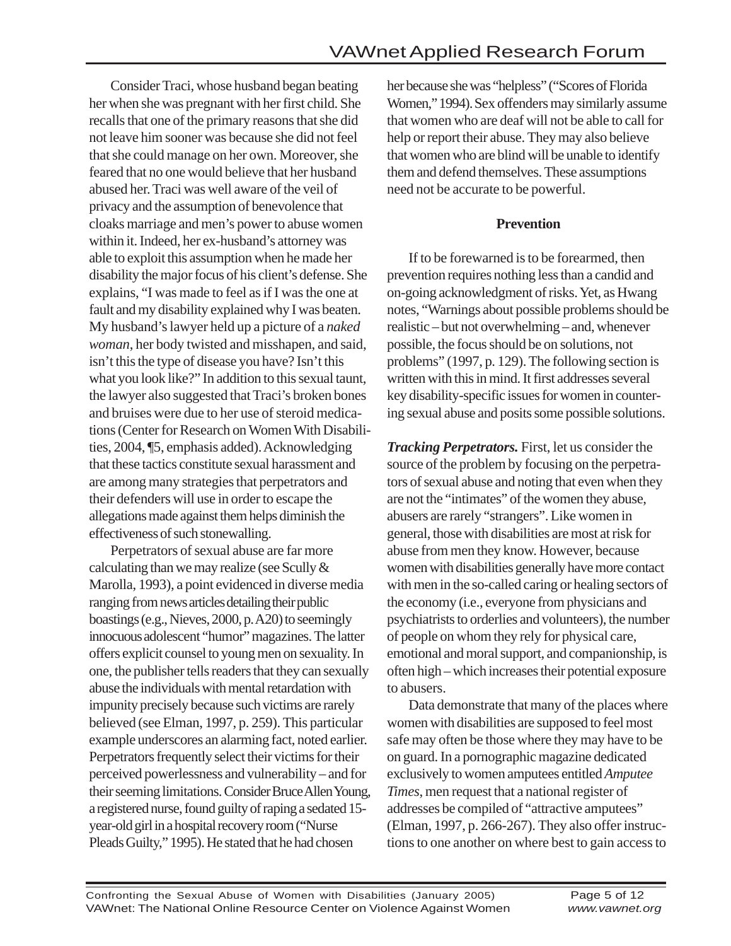Consider Traci, whose husband began beating her when she was pregnant with her first child. She recalls that one of the primary reasons that she did not leave him sooner was because she did not feel that she could manage on her own. Moreover, she feared that no one would believe that her husband abused her. Traci was well aware of the veil of privacy and the assumption of benevolence that cloaks marriage and men's power to abuse women within it. Indeed, her ex-husband's attorney was able to exploit this assumption when he made her disability the major focus of his client's defense. She explains, "I was made to feel as if I was the one at fault and my disability explained why I was beaten. My husband's lawyer held up a picture of a *naked woman*, her body twisted and misshapen, and said, isn't this the type of disease you have? Isn't this what you look like?" In addition to this sexual taunt, the lawyer also suggested that Traci's broken bones and bruises were due to her use of steroid medications (Center for Research on Women With Disabilities, 2004, ¶5, emphasis added). Acknowledging that these tactics constitute sexual harassment and are among many strategies that perpetrators and their defenders will use in order to escape the allegations made against them helps diminish the effectiveness of such stonewalling.

Perpetrators of sexual abuse are far more calculating than we may realize (see Scully & Marolla, 1993), a point evidenced in diverse media ranging from news articles detailing their public boastings (e.g., Nieves, 2000, p. A20) to seemingly innocuous adolescent "humor" magazines. The latter offers explicit counsel to young men on sexuality. In one, the publisher tells readers that they can sexually abuse the individuals with mental retardation with impunity precisely because such victims are rarely believed (see Elman, 1997, p. 259). This particular example underscores an alarming fact, noted earlier. Perpetrators frequently select their victims for their perceived powerlessness and vulnerability – and for their seeming limitations. Consider Bruce Allen Young, a registered nurse, found guilty of raping a sedated 15 year-old girl in a hospital recovery room ("Nurse Pleads Guilty," 1995). He stated that he had chosen

her because she was "helpless" ("Scores of Florida Women," 1994). Sex offenders may similarly assume that women who are deaf will not be able to call for help or report their abuse. They may also believe that women who are blind will be unable to identify them and defend themselves. These assumptions need not be accurate to be powerful.

#### **Prevention**

If to be forewarned is to be forearmed, then prevention requires nothing less than a candid and on-going acknowledgment of risks. Yet, as Hwang notes, "Warnings about possible problems should be realistic – but not overwhelming – and, whenever possible, the focus should be on solutions, not problems" (1997, p. 129). The following section is written with this in mind. It first addresses several key disability-specific issues for women in countering sexual abuse and posits some possible solutions.

*Tracking Perpetrators.* First, let us consider the source of the problem by focusing on the perpetrators of sexual abuse and noting that even when they are not the "intimates" of the women they abuse, abusers are rarely "strangers". Like women in general, those with disabilities are most at risk for abuse from men they know. However, because women with disabilities generally have more contact with men in the so-called caring or healing sectors of the economy (i.e., everyone from physicians and psychiatrists to orderlies and volunteers), the number of people on whom they rely for physical care, emotional and moral support, and companionship, is often high – which increases their potential exposure to abusers.

Data demonstrate that many of the places where women with disabilities are supposed to feel most safe may often be those where they may have to be on guard. In a pornographic magazine dedicated exclusively to women amputees entitled *Amputee Times*, men request that a national register of addresses be compiled of "attractive amputees" (Elman, 1997, p. 266-267). They also offer instructions to one another on where best to gain access to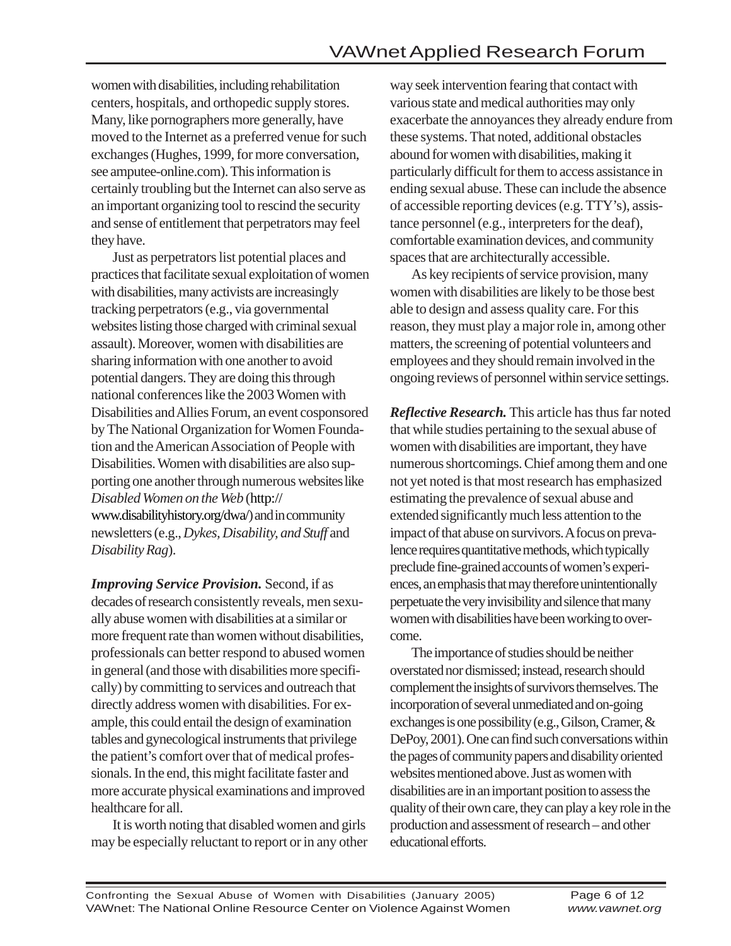women with disabilities, including rehabilitation centers, hospitals, and orthopedic supply stores. Many, like pornographers more generally, have moved to the Internet as a preferred venue for such exchanges (Hughes, 1999, for more conversation, see amputee-online.com). This information is certainly troubling but the Internet can also serve as an important organizing tool to rescind the security and sense of entitlement that perpetrators may feel they have.

Just as perpetrators list potential places and practices that facilitate sexual exploitation of women with disabilities, many activists are increasingly tracking perpetrators (e.g., via governmental websites listing those charged with criminal sexual assault). Moreover, women with disabilities are sharing information with one another to avoid potential dangers. They are doing this through national conferences like the 2003 Women with Disabilities and Allies Forum, an event cosponsored by The National Organization for Women Foundation and the American Association of People with Disabilities. Women with disabilities are also supporting one another through numerous websites like *Disabled Women on the Web* (http:// www.disabilityhistory.org/dwa/) and in community newsletters (e.g., *Dykes, Disability, and Stuff* and *Disability Rag*).

*Improving Service Provision.* Second, if as decades of research consistently reveals, men sexually abuse women with disabilities at a similar or more frequent rate than women without disabilities, professionals can better respond to abused women in general (and those with disabilities more specifically) by committing to services and outreach that directly address women with disabilities. For example, this could entail the design of examination tables and gynecological instruments that privilege the patient's comfort over that of medical professionals. In the end, this might facilitate faster and more accurate physical examinations and improved healthcare for all.

It is worth noting that disabled women and girls may be especially reluctant to report or in any other way seek intervention fearing that contact with various state and medical authorities may only exacerbate the annoyances they already endure from these systems. That noted, additional obstacles abound for women with disabilities, making it particularly difficult for them to access assistance in ending sexual abuse. These can include the absence of accessible reporting devices (e.g. TTY's), assistance personnel (e.g., interpreters for the deaf), comfortable examination devices, and community spaces that are architecturally accessible.

As key recipients of service provision, many women with disabilities are likely to be those best able to design and assess quality care. For this reason, they must play a major role in, among other matters, the screening of potential volunteers and employees and they should remain involved in the ongoing reviews of personnel within service settings.

*Reflective Research.* This article has thus far noted that while studies pertaining to the sexual abuse of women with disabilities are important, they have numerous shortcomings. Chief among them and one not yet noted is that most research has emphasized estimating the prevalence of sexual abuse and extended significantly much less attention to the impact of that abuse on survivors. A focus on prevalence requires quantitative methods, which typically preclude fine-grained accounts of women's experiences, an emphasis that may therefore unintentionally perpetuate the very invisibility and silence that many women with disabilities have been working to overcome.

The importance of studies should be neither overstated nor dismissed; instead, research should complement the insights of survivors themselves. The incorporation of several unmediated and on-going exchanges is one possibility (e.g., Gilson, Cramer, & DePoy, 2001). One can find such conversations within the pages of community papers and disability oriented websites mentioned above. Just as women with disabilities are in an important position to assess the quality of their own care, they can play a key role in the production and assessment of research – and other educational efforts.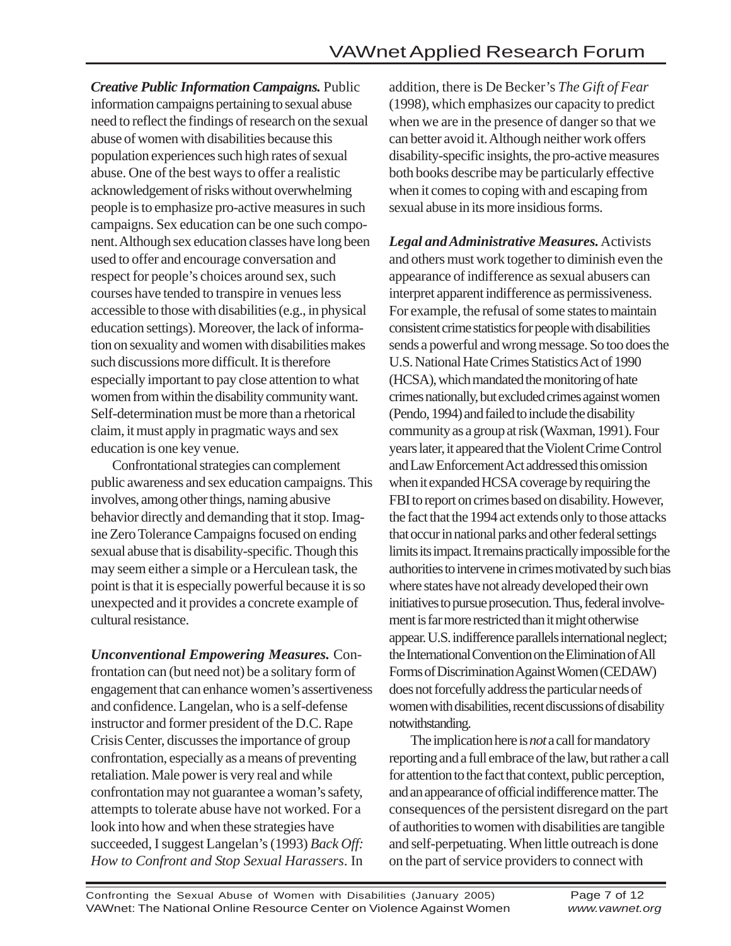*Creative Public Information Campaigns.* Public information campaigns pertaining to sexual abuse need to reflect the findings of research on the sexual abuse of women with disabilities because this population experiences such high rates of sexual abuse. One of the best ways to offer a realistic acknowledgement of risks without overwhelming people is to emphasize pro-active measures in such campaigns. Sex education can be one such component. Although sex education classes have long been used to offer and encourage conversation and respect for people's choices around sex, such courses have tended to transpire in venues less accessible to those with disabilities (e.g., in physical education settings). Moreover, the lack of information on sexuality and women with disabilities makes such discussions more difficult. It is therefore especially important to pay close attention to what women from within the disability community want. Self-determination must be more than a rhetorical claim, it must apply in pragmatic ways and sex education is one key venue.

Confrontational strategies can complement public awareness and sex education campaigns. This involves, among other things, naming abusive behavior directly and demanding that it stop. Imagine Zero Tolerance Campaigns focused on ending sexual abuse that is disability-specific. Though this may seem either a simple or a Herculean task, the point is that it is especially powerful because it is so unexpected and it provides a concrete example of cultural resistance.

*Unconventional Empowering Measures.* Confrontation can (but need not) be a solitary form of engagement that can enhance women's assertiveness and confidence. Langelan, who is a self-defense instructor and former president of the D.C. Rape Crisis Center, discusses the importance of group confrontation, especially as a means of preventing retaliation. Male power is very real and while confrontation may not guarantee a woman's safety, attempts to tolerate abuse have not worked. For a look into how and when these strategies have succeeded, I suggest Langelan's (1993) *Back Off: How to Confront and Stop Sexual Harassers*. In

addition, there is De Becker's *The Gift of Fear* (1998), which emphasizes our capacity to predict when we are in the presence of danger so that we can better avoid it. Although neither work offers disability-specific insights, the pro-active measures both books describe may be particularly effective when it comes to coping with and escaping from sexual abuse in its more insidious forms.

*Legal and Administrative Measures.* Activists and others must work together to diminish even the appearance of indifference as sexual abusers can interpret apparent indifference as permissiveness. For example, the refusal of some states to maintain consistent crime statistics for people with disabilities sends a powerful and wrong message. So too does the U.S. National Hate Crimes Statistics Act of 1990 (HCSA), which mandated the monitoring of hate crimes nationally, but excluded crimes against women (Pendo, 1994) and failed to include the disability community as a group at risk (Waxman, 1991). Four years later, it appeared that the Violent Crime Control and Law Enforcement Act addressed this omission when it expanded HCSA coverage by requiring the FBI to report on crimes based on disability. However, the fact that the 1994 act extends only to those attacks that occur in national parks and other federal settings limits its impact. It remains practically impossible for the authorities to intervene in crimes motivated by such bias where states have not already developed their own initiatives to pursue prosecution. Thus, federal involvement is far more restricted than it might otherwise appear. U.S. indifference parallels international neglect; the International Convention on the Elimination of All Forms of Discrimination Against Women (CEDAW) does not forcefully address the particular needs of women with disabilities, recent discussions of disability notwithstanding.

The implication here is *not* a call for mandatory reporting and a full embrace of the law, but rather a call for attention to the fact that context, public perception, and an appearance of official indifference matter. The consequences of the persistent disregard on the part of authorities to women with disabilities are tangible and self-perpetuating. When little outreach is done on the part of service providers to connect with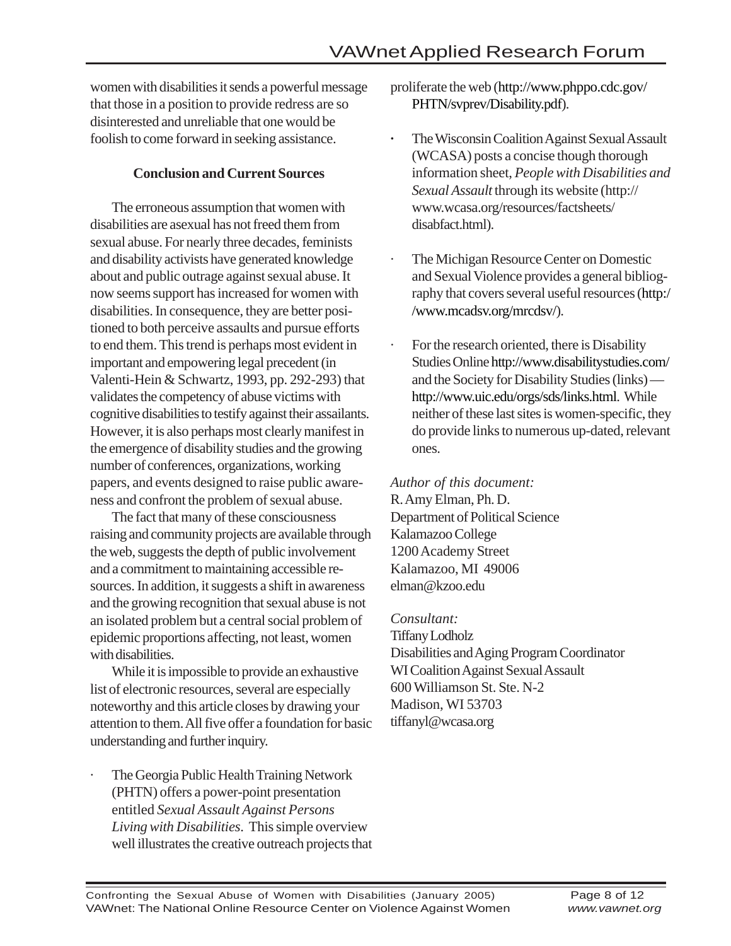women with disabilities it sends a powerful message that those in a position to provide redress are so disinterested and unreliable that one would be foolish to come forward in seeking assistance.

#### **Conclusion and Current Sources**

The erroneous assumption that women with disabilities are asexual has not freed them from sexual abuse. For nearly three decades, feminists and disability activists have generated knowledge about and public outrage against sexual abuse. It now seems support has increased for women with disabilities. In consequence, they are better positioned to both perceive assaults and pursue efforts to end them. This trend is perhaps most evident in important and empowering legal precedent (in Valenti-Hein & Schwartz, 1993, pp. 292-293) that validates the competency of abuse victims with cognitive disabilities to testify against their assailants. However, it is also perhaps most clearly manifest in the emergence of disability studies and the growing number of conferences, organizations, working papers, and events designed to raise public awareness and confront the problem of sexual abuse.

The fact that many of these consciousness raising and community projects are available through the web, suggests the depth of public involvement and a commitment to maintaining accessible resources. In addition, it suggests a shift in awareness and the growing recognition that sexual abuse is not an isolated problem but a central social problem of epidemic proportions affecting, not least, women with disabilities.

While it is impossible to provide an exhaustive list of electronic resources, several are especially noteworthy and this article closes by drawing your attention to them. All five offer a foundation for basic understanding and further inquiry.

· The Georgia Public Health Training Network (PHTN) offers a power-point presentation entitled *Sexual Assault Against Persons Living with Disabilities*. This simple overview well illustrates the creative outreach projects that proliferate the web (http://www.phppo.cdc.gov/ PHTN/svprev/Disability.pdf).

- **·** The Wisconsin Coalition Against Sexual Assault (WCASA) posts a concise though thorough information sheet, *People with Disabilities and Sexual Assault* through its website (http:// www.wcasa.org/resources/factsheets/ disabfact.html).
- · The Michigan Resource Center on Domestic and Sexual Violence provides a general bibliography that covers several useful resources (http:/ /www.mcadsv.org/mrcdsv/).
- For the research oriented, there is Disability Studies Online http://www.disabilitystudies.com/ and the Society for Disability Studies (links) http://www.uic.edu/orgs/sds/links.html. While neither of these last sites is women-specific, they do provide links to numerous up-dated, relevant ones.

*Author of this document:*

R. Amy Elman, Ph. D. Department of Political Science Kalamazoo College 1200 Academy Street Kalamazoo, MI 49006 elman@kzoo.edu

*Consultant:* Tiffany Lodholz Disabilities and Aging Program Coordinator WI Coalition Against Sexual Assault 600 Williamson St. Ste. N-2 Madison, WI 53703 tiffanyl@wcasa.org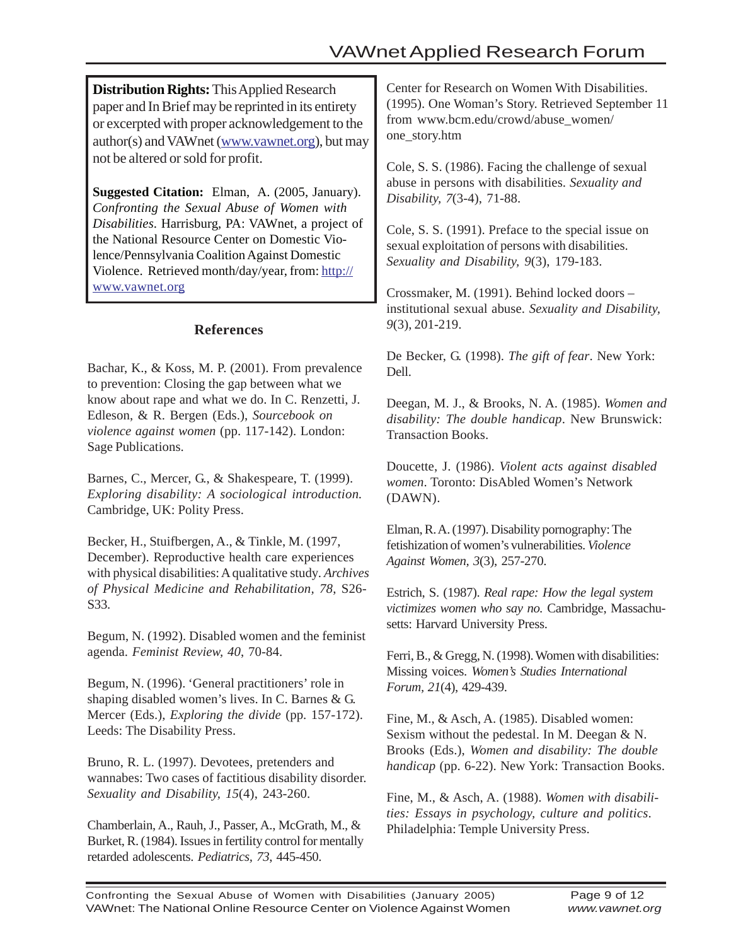**Distribution Rights:** This Applied Research paper and In Brief may be reprinted in its entirety or excerpted with proper acknowledgement to the author(s) and VAWnet (www.vawnet.org), but may not be altered or sold for profit.

**Suggested Citation:** Elman, A. (2005, January). *Confronting the Sexual Abuse of Women with Disabilities*. Harrisburg, PA: VAWnet, a project of the National Resource Center on Domestic Violence/Pennsylvania Coalition Against Domestic Violence. Retrieved month/day/year, from: http:// www.vawnet.org

#### **References**

Bachar, K., & Koss, M. P. (2001). From prevalence to prevention: Closing the gap between what we know about rape and what we do. In C. Renzetti, J. Edleson, & R. Bergen (Eds.), *Sourcebook on violence against women* (pp. 117-142). London: Sage Publications.

Barnes, C., Mercer, G., & Shakespeare, T. (1999). *Exploring disability: A sociological introduction.* Cambridge, UK: Polity Press.

Becker, H., Stuifbergen, A., & Tinkle, M. (1997, December). Reproductive health care experiences with physical disabilities: A qualitative study*. Archives of Physical Medicine and Rehabilitation, 78*, S26- S33.

Begum, N. (1992). Disabled women and the feminist agenda. *Feminist Review, 40*, 70-84.

Begum, N. (1996). 'General practitioners' role in shaping disabled women's lives. In C. Barnes & G. Mercer (Eds.), *Exploring the divide* (pp. 157-172). Leeds: The Disability Press.

Bruno, R. L. (1997). Devotees, pretenders and wannabes: Two cases of factitious disability disorder. *Sexuality and Disability, 15*(4), 243-260.

Chamberlain, A., Rauh, J., Passer, A., McGrath, M., & Burket, R. (1984). Issues in fertility control for mentally retarded adolescents. *Pediatrics, 73*, 445-450.

Center for Research on Women With Disabilities. (1995). One Woman's Story. Retrieved September 11 from www.bcm.edu/crowd/abuse\_women/ one\_story.htm

Cole, S. S. (1986). Facing the challenge of sexual abuse in persons with disabilities. *Sexuality and Disability, 7*(3-4), 71-88.

Cole, S. S. (1991). Preface to the special issue on sexual exploitation of persons with disabilities. *Sexuality and Disability, 9*(3), 179-183.

Crossmaker, M. (1991). Behind locked doors – institutional sexual abuse. *Sexuality and Disability, 9*(3), 201-219.

De Becker, G. (1998). *The gift of fear*. New York: Dell.

Deegan, M. J., & Brooks, N. A. (1985). *Women and disability: The double handicap*. New Brunswick: Transaction Books.

Doucette, J. (1986). *Violent acts against disabled women*. Toronto: DisAbled Women's Network (DAWN).

Elman, R. A. (1997). Disability pornography: The fetishization of women's vulnerabilities. *Violence Against Women, 3*(3), 257-270.

Estrich, S. (1987). *Real rape: How the legal system victimizes women who say no.* Cambridge, Massachusetts: Harvard University Press.

Ferri, B., & Gregg, N. (1998). Women with disabilities: Missing voices. *Women's Studies International Forum, 21*(4), 429-439.

Fine, M., & Asch, A. (1985). Disabled women: Sexism without the pedestal. In M. Deegan & N. Brooks (Eds.), *Women and disability: The double handicap* (pp. 6-22). New York: Transaction Books.

Fine, M., & Asch, A. (1988). *Women with disabilities: Essays in psychology, culture and politics*. Philadelphia: Temple University Press.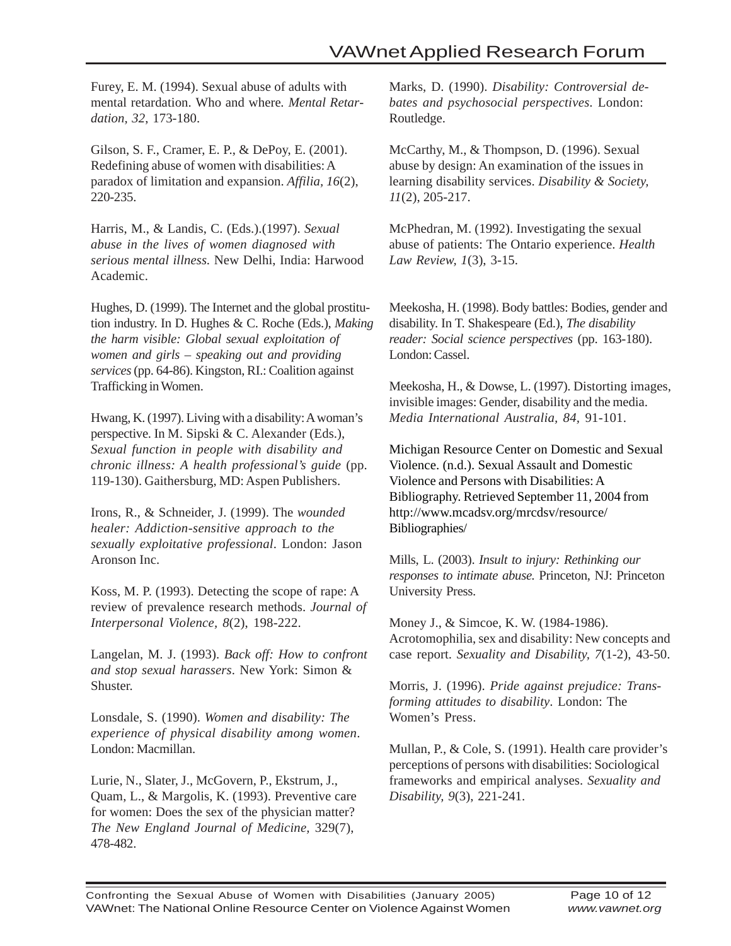Furey, E. M. (1994). Sexual abuse of adults with mental retardation. Who and where*. Mental Retardation, 32*, 173-180.

Gilson, S. F., Cramer, E. P., & DePoy, E. (2001). Redefining abuse of women with disabilities: A paradox of limitation and expansion. *Affilia, 16*(2), 220-235.

Harris, M., & Landis, C. (Eds.).(1997). *Sexual abuse in the lives of women diagnosed with serious mental illness.* New Delhi, India: Harwood Academic.

Hughes, D. (1999). The Internet and the global prostitution industry. In D. Hughes & C. Roche (Eds.), *Making the harm visible: Global sexual exploitation of women and girls – speaking out and providing services* (pp. 64-86). Kingston, RI.: Coalition against Trafficking in Women.

Hwang, K. (1997). Living with a disability: A woman's perspective. In M. Sipski & C. Alexander (Eds.), *Sexual function in people with disability and chronic illness: A health professional's guide* (pp. 119-130). Gaithersburg, MD: Aspen Publishers.

Irons, R., & Schneider, J. (1999). The *wounded healer: Addiction-sensitive approach to the sexually exploitative professional*. London: Jason Aronson Inc.

Koss, M. P. (1993). Detecting the scope of rape: A review of prevalence research methods. *Journal of Interpersonal Violence, 8*(2), 198-222.

Langelan, M. J. (1993). *Back off: How to confront and stop sexual harassers*. New York: Simon & Shuster.

Lonsdale, S. (1990). *Women and disability: The experience of physical disability among women*. London: Macmillan.

Lurie, N., Slater, J., McGovern, P., Ekstrum, J., Quam, L., & Margolis, K. (1993). Preventive care for women: Does the sex of the physician matter? *The New England Journal of Medicine,* 329(7), 478-482.

Marks, D. (1990). *Disability: Controversial debates and psychosocial perspectives*. London: Routledge.

McCarthy, M., & Thompson, D. (1996). Sexual abuse by design: An examination of the issues in learning disability services. *Disability & Society, 11*(2), 205-217.

McPhedran, M. (1992). Investigating the sexual abuse of patients: The Ontario experience. *Health Law Review, 1*(3), 3-15.

Meekosha, H. (1998). Body battles: Bodies, gender and disability. In T. Shakespeare (Ed.), *The disability reader: Social science perspectives* (pp. 163-180). London: Cassel.

Meekosha, H., & Dowse, L. (1997). Distorting images, invisible images: Gender, disability and the media. *Media International Australia, 84,* 91-101.

Michigan Resource Center on Domestic and Sexual Violence. (n.d.). Sexual Assault and Domestic Violence and Persons with Disabilities: A Bibliography. Retrieved September 11, 2004 from http://www.mcadsv.org/mrcdsv/resource/ Bibliographies/

Mills, L. (2003). *Insult to injury: Rethinking our responses to intimate abuse.* Princeton, NJ: Princeton University Press.

Money J., & Simcoe, K. W. (1984-1986). Acrotomophilia, sex and disability: New concepts and case report. *Sexuality and Disability, 7*(1-2), 43-50.

Morris, J. (1996). *Pride against prejudice: Transforming attitudes to disability*. London: The Women's Press.

Mullan, P., & Cole, S. (1991). Health care provider's perceptions of persons with disabilities: Sociological frameworks and empirical analyses. *Sexuality and Disability, 9*(3), 221-241.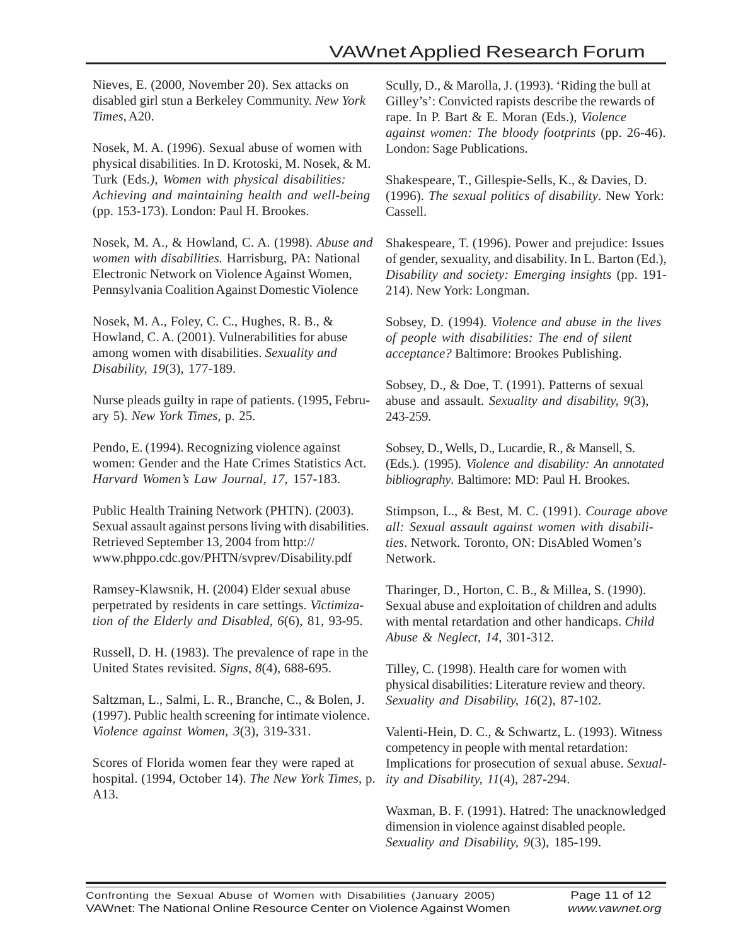Nieves, E. (2000, November 20). Sex attacks on disabled girl stun a Berkeley Community. *New York Times*, A20.

Nosek, M. A. (1996). Sexual abuse of women with physical disabilities. In D. Krotoski, M. Nosek, & M. Turk (Eds*.), Women with physical disabilities: Achieving and maintaining health and well-being* (pp. 153-173). London: Paul H. Brookes.

Nosek, M. A., & Howland, C. A. (1998). *Abuse and women with disabilities.* Harrisburg, PA: National Electronic Network on Violence Against Women, Pennsylvania Coalition Against Domestic Violence

Nosek, M. A., Foley, C. C., Hughes, R. B., & Howland, C. A. (2001). Vulnerabilities for abuse among women with disabilities. *Sexuality and Disability, 19*(3), 177-189.

Nurse pleads guilty in rape of patients. (1995, February 5). *New York Times*, p. 25.

Pendo, E. (1994). Recognizing violence against women: Gender and the Hate Crimes Statistics Act. *Harvard Women's Law Journal, 17,* 157-183.

Public Health Training Network (PHTN). (2003). Sexual assault against persons living with disabilities. Retrieved September 13, 2004 from http:// www.phppo.cdc.gov/PHTN/svprev/Disability.pdf

Ramsey-Klawsnik, H. (2004) Elder sexual abuse perpetrated by residents in care settings. *Victimization of the Elderly and Disabled, 6*(6), 81, 93-95.

Russell, D. H. (1983). The prevalence of rape in the United States revisited. *Signs, 8*(4), 688-695.

Saltzman, L., Salmi, L. R., Branche, C., & Bolen, J. (1997). Public health screening for intimate violence. *Violence against Women, 3*(3), 319-331.

Scores of Florida women fear they were raped at hospital. (1994, October 14). *The New York Times*, p. A13.

Scully, D., & Marolla, J. (1993). 'Riding the bull at Gilley's': Convicted rapists describe the rewards of rape. In P. Bart & E. Moran (Eds.), *Violence against women: The bloody footprints* (pp. 26-46). London: Sage Publications.

Shakespeare, T., Gillespie-Sells, K., & Davies, D. (1996). *The sexual politics of disability*. New York: Cassell.

Shakespeare, T. (1996). Power and prejudice: Issues of gender, sexuality, and disability. In L. Barton (Ed.), *Disability and society: Emerging insights* (pp. 191- 214). New York: Longman.

Sobsey, D. (1994). *Violence and abuse in the lives of people with disabilities: The end of silent acceptance?* Baltimore: Brookes Publishing.

Sobsey, D., & Doe, T. (1991). Patterns of sexual abuse and assault. *Sexuality and disability, 9*(3), 243-259.

Sobsey, D., Wells, D., Lucardie, R., & Mansell, S. (Eds.). (1995). *Violence and disability: An annotated bibliography*. Baltimore: MD: Paul H. Brookes.

Stimpson, L., & Best, M. C. (1991). *Courage above all: Sexual assault against women with disabilities*. Network. Toronto, ON: DisAbled Women's Network.

Tharinger, D., Horton, C. B., & Millea, S. (1990). Sexual abuse and exploitation of children and adults with mental retardation and other handicaps. *Child Abuse & Neglect, 14*, 301-312.

Tilley, C. (1998). Health care for women with physical disabilities: Literature review and theory. *Sexuality and Disability, 16*(2), 87-102.

Valenti-Hein, D. C., & Schwartz, L. (1993). Witness competency in people with mental retardation: Implications for prosecution of sexual abuse. *Sexuality and Disability, 11*(4), 287-294.

Waxman, B. F. (1991). Hatred: The unacknowledged dimension in violence against disabled people. *Sexuality and Disability, 9*(3), 185-199.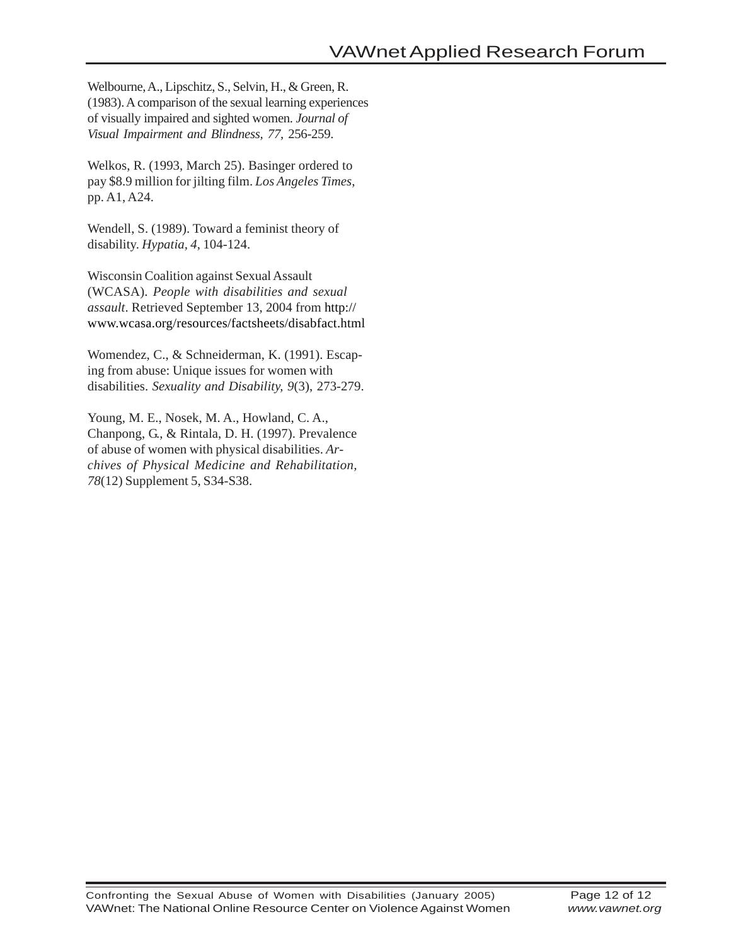Welbourne, A., Lipschitz, S., Selvin, H., & Green, R. (1983). A comparison of the sexual learning experiences of visually impaired and sighted women. *Journal of Visual Impairment and Blindness, 77*, 256-259.

Welkos, R. (1993, March 25). Basinger ordered to pay \$8.9 million for jilting film. *Los Angeles Times*, pp. A1, A24.

Wendell, S. (1989). Toward a feminist theory of disability. *Hypatia, 4*, 104-124.

Wisconsin Coalition against Sexual Assault (WCASA). *People with disabilities and sexual assault*. Retrieved September 13, 2004 from http:// www.wcasa.org/resources/factsheets/disabfact.html

Womendez, C., & Schneiderman, K. (1991). Escaping from abuse: Unique issues for women with disabilities. *Sexuality and Disability, 9*(3), 273-279.

Young, M. E., Nosek, M. A., Howland, C. A., Chanpong, G., & Rintala, D. H. (1997). Prevalence of abuse of women with physical disabilities. *Archives of Physical Medicine and Rehabilitation, 78*(12) Supplement 5, S34-S38.